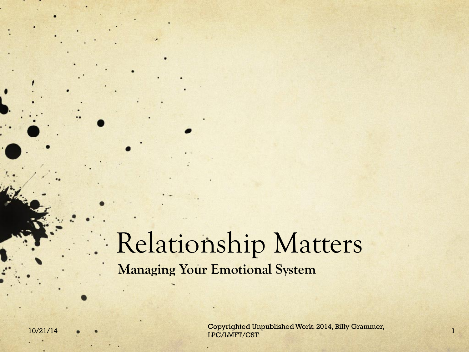### Relationship Matters **Managing Your Emotional System**

10/21/14 • • • Copyrighted Unpublished Work. 2014, Billy Grammer, 1994. [1]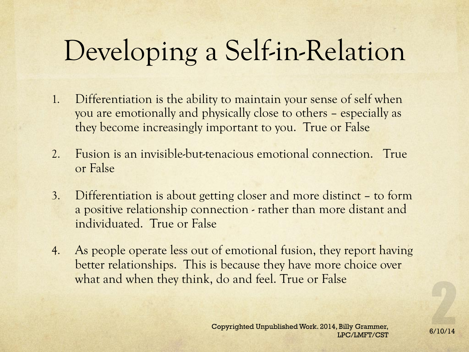# Developing a Self-in-Relation

- 1. Differentiation is the ability to maintain your sense of self when you are emotionally and physically close to others – especially as they become increasingly important to you. True or False
- 2. Fusion is an invisible-but-tenacious emotional connection. True or False
- 3. Differentiation is about getting closer and more distinct to form a positive relationship connection - rather than more distant and individuated. True or False
- 4. As people operate less out of emotional fusion, they report having better relationships. This is because they have more choice over what and when they think, do and feel. True or False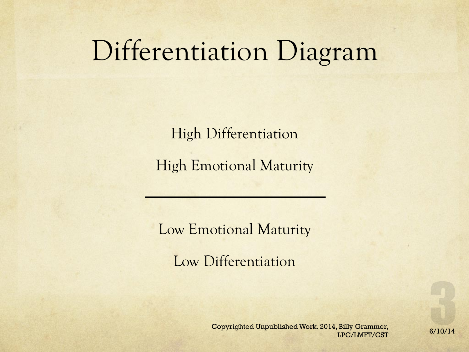## Differentiation Diagram

High Differentiation

High Emotional Maturity

Low Emotional Maturity

Low Differentiation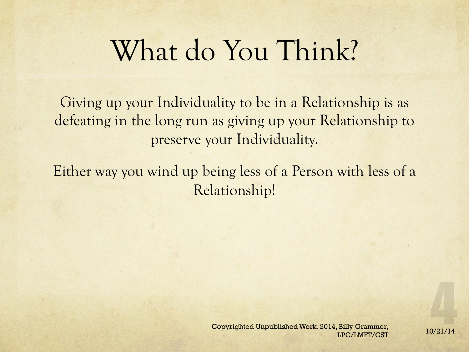## What do You Think?

Giving up your Individuality to be in a Relationship is as defeating in the long run as giving up your Relationship to preserve your Individuality.

Either way you wind up being less of a Person with less of a Relationship!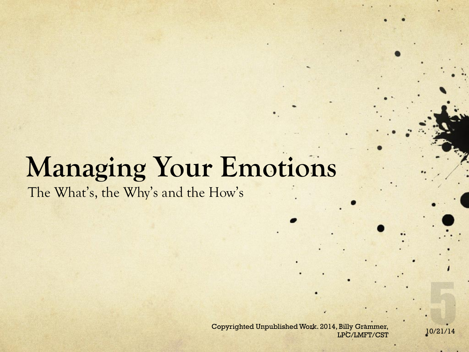# **Managing Your Emotions**

The What's, the Why's and the How's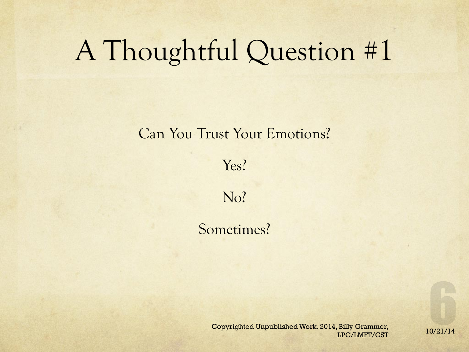## A Thoughtful Question #1

#### Can You Trust Your Emotions?

Yes?

No?

Sometimes?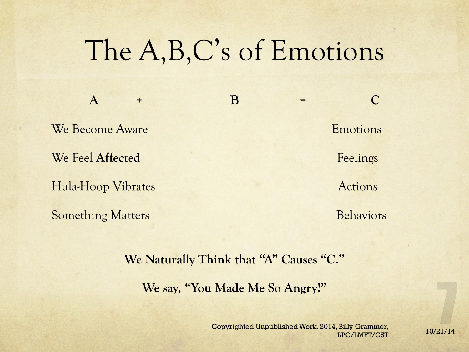## The A,B,C's of Emotions

We Become Aware **Emotions** We Feel Affected Feelings Hula-Hoop Vibrates Actions

**A + B = C**  Something Matters **Behaviors** Behaviors

#### **We Naturally Think that "A" Causes "C."**

**We say, "You Made Me So Angry!"**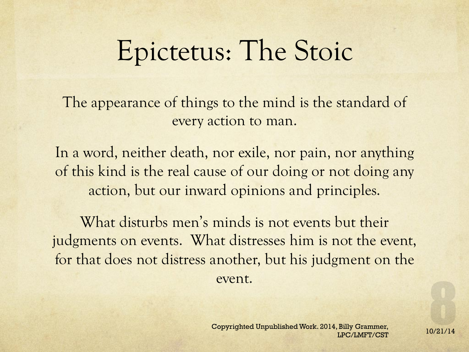## Epictetus: The Stoic

The appearance of things to the mind is the standard of every action to man.

In a word, neither death, nor exile, nor pain, nor anything of this kind is the real cause of our doing or not doing any action, but our inward opinions and principles.

What disturbs men's minds is not events but their judgments on events. What distresses him is not the event, for that does not distress another, but his judgment on the event.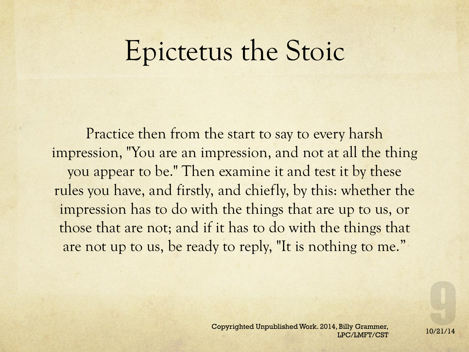## Epictetus the Stoic

Practice then from the start to say to every harsh impression, "You are an impression, and not at all the thing you appear to be." Then examine it and test it by these rules you have, and firstly, and chiefly, by this: whether the impression has to do with the things that are up to us, or those that are not; and if it has to do with the things that are not up to us, be ready to reply, "It is nothing to me."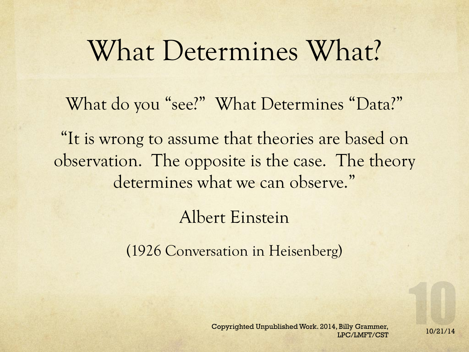## What Determines What?

What do you "see?" What Determines "Data?"

"It is wrong to assume that theories are based on observation. The opposite is the case. The theory determines what we can observe."

Albert Einstein

(1926 Conversation in Heisenberg)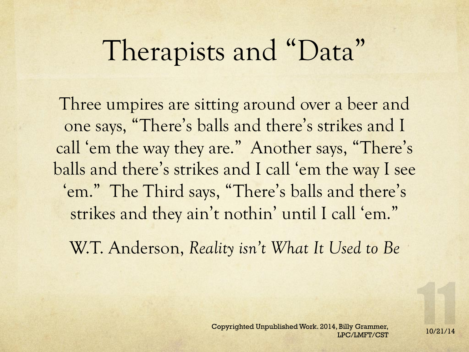## Therapists and "Data"

Three umpires are sitting around over a beer and one says, "There's balls and there's strikes and I call 'em the way they are." Another says, "There's balls and there's strikes and I call 'em the way I see 'em." The Third says, "There's balls and there's strikes and they ain't nothin' until I call 'em."

W.T. Anderson, *Reality isn't What It Used to Be*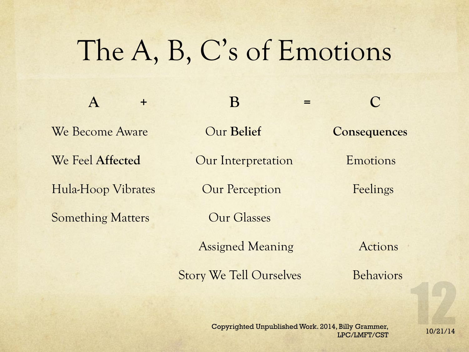## The A, B, C's of Emotions

**A + B = C**  We Become Aware Our **Belief Consequences**  We Feel Affected **Our Interpretation** Emotions Hula-Hoop Vibrates Our Perception Feelings Something Matters **Canadian Control Control** Cur Glasses

Assigned Meaning **Actions** 

Story We Tell Ourselves Behaviors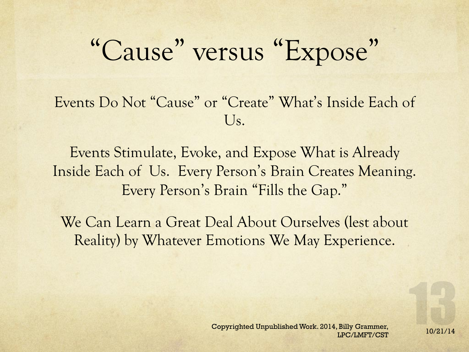## "Cause" versus "Expose"

Events Do Not "Cause" or "Create" What's Inside Each of  $U_{S_{\star}}$ 

Events Stimulate, Evoke, and Expose What is Already Inside Each of Us. Every Person's Brain Creates Meaning. Every Person's Brain "Fills the Gap."

We Can Learn a Great Deal About Ourselves (lest about Reality) by Whatever Emotions We May Experience.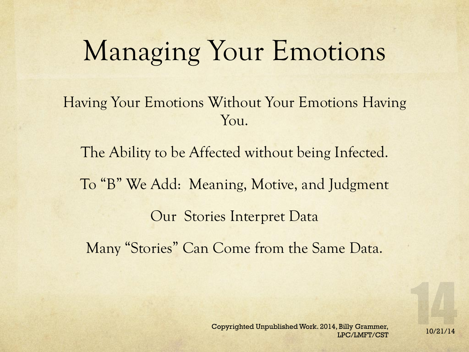## Managing Your Emotions

Having Your Emotions Without Your Emotions Having Y<sub>OU</sub>.

The Ability to be Affected without being Infected. To "B" We Add: Meaning, Motive, and Judgment Our Stories Interpret Data Many "Stories" Can Come from the Same Data.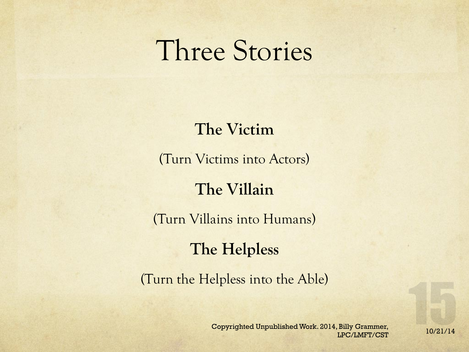## Three Stories

### **The Victim**

(Turn Victims into Actors)

### **The Villain**

(Turn Villains into Humans)

#### **The Helpless**

(Turn the Helpless into the Able)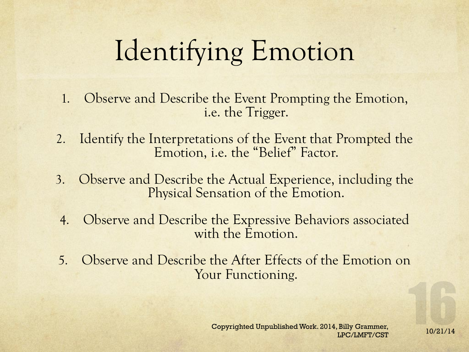# Identifying Emotion

- 1. Observe and Describe the Event Prompting the Emotion, i.e. the Trigger.
- 2. Identify the Interpretations of the Event that Prompted the Emotion, i.e. the "Belief" Factor.
- 3. Observe and Describe the Actual Experience, including the Physical Sensation of the Emotion.
- 4. Observe and Describe the Expressive Behaviors associated with the Emotion.
- 5. Observe and Describe the After Effects of the Emotion on Your Functioning.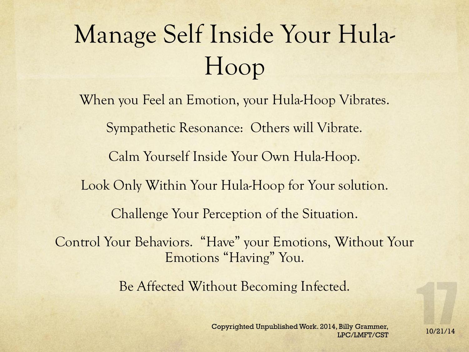# Manage Self Inside Your Hula-Hoop

When you Feel an Emotion, your Hula-Hoop Vibrates. Sympathetic Resonance: Others will Vibrate. Calm Yourself Inside Your Own Hula-Hoop. Look Only Within Your Hula-Hoop for Your solution. Challenge Your Perception of the Situation. Control Your Behaviors. "Have" your Emotions, Without Your Emotions "Having" You. Be Affected Without Becoming Infected.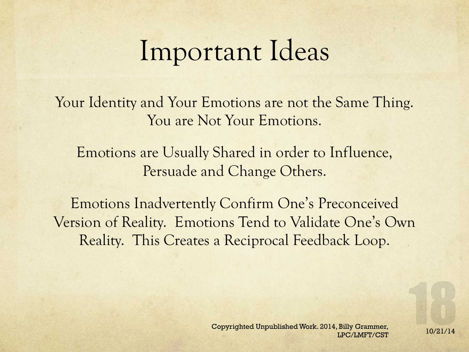## Important Ideas

Your Identity and Your Emotions are not the Same Thing. You are Not Your Emotions.

Emotions are Usually Shared in order to Influence, Persuade and Change Others.

Emotions Inadvertently Confirm One's Preconceived Version of Reality. Emotions Tend to Validate One's Own Reality. This Creates a Reciprocal Feedback Loop.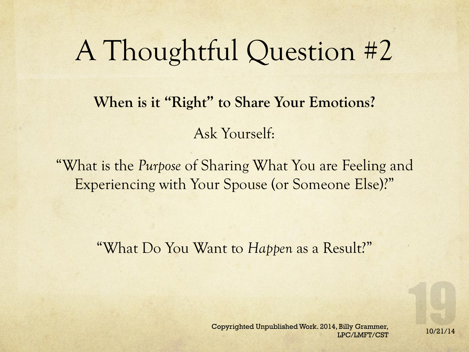## A Thoughtful Question #2

**When is it "Right" to Share Your Emotions?**  Ask Yourself:

"What is the *Purpose* of Sharing What You are Feeling and Experiencing with Your Spouse (or Someone Else)?"

"What Do You Want to *Happen* as a Result?"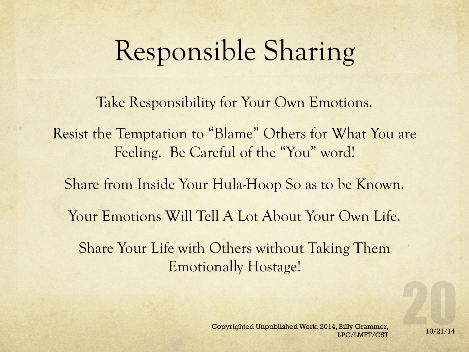## Responsible Sharing

Take Responsibility for Your Own Emotions.

Resist the Temptation to "Blame" Others for What You are Feeling. Be Careful of the "You" word!

Share from Inside Your Hula-Hoop So as to be Known.

Your Emotions Will Tell A Lot About Your Own Life.

Share Your Life with Others without Taking Them Emotionally Hostage!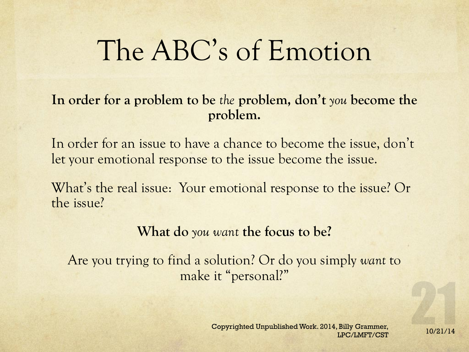## The ABC's of Emotion

#### **In order for a problem to be** *the* **problem, don't** *you* **become the problem.**

In order for an issue to have a chance to become the issue, don't let your emotional response to the issue become the issue.

What's the real issue: Your emotional response to the issue? Or the issue?

#### **What do** *you want* **the focus to be?**

Are you trying to find a solution? Or do you simply *want* to make it "personal?"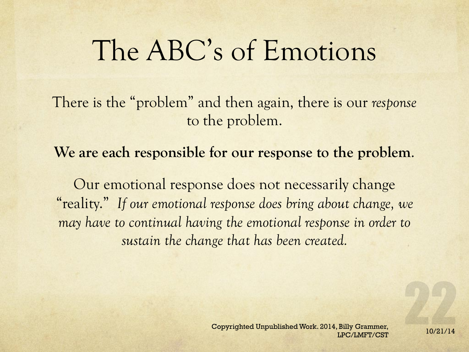## The ABC's of Emotions

There is the "problem" and then again, there is our *response* to the problem.

**We are each responsible for our response to the problem**.

Our emotional response does not necessarily change "reality." *If our emotional response does bring about change, we may have to continual having the emotional response in order to sustain the change that has been created.*